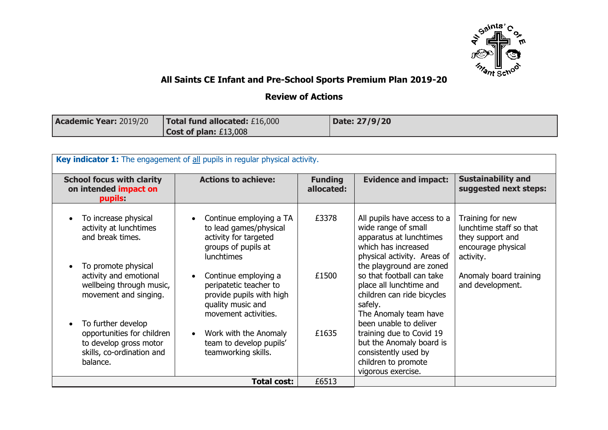

## **All Saints CE Infant and Pre-School Sports Premium Plan 2019-20**

## **Review of Actions**

| <b>Academic Year: 2019/20</b> | <b>Total fund allocated: £16,000</b> | Date: 27/9/20 |
|-------------------------------|--------------------------------------|---------------|
|                               | <b>Cost of plan: £13,008</b>         |               |

| Key indicator 1: The engagement of all pupils in regular physical activity.                                         |                                                                                                                         |                              |                                                                                                                                                                 |                                                                                                    |  |
|---------------------------------------------------------------------------------------------------------------------|-------------------------------------------------------------------------------------------------------------------------|------------------------------|-----------------------------------------------------------------------------------------------------------------------------------------------------------------|----------------------------------------------------------------------------------------------------|--|
| <b>School focus with clarity</b><br>on intended impact on<br>pupils:                                                | <b>Actions to achieve:</b>                                                                                              | <b>Funding</b><br>allocated: | <b>Evidence and impact:</b>                                                                                                                                     | <b>Sustainability and</b><br>suggested next steps:                                                 |  |
| To increase physical<br>activity at lunchtimes<br>and break times.<br>To promote physical                           | Continue employing a TA<br>to lead games/physical<br>activity for targeted<br>groups of pupils at<br><b>lunchtimes</b>  | £3378                        | All pupils have access to a<br>wide range of small<br>apparatus at lunchtimes<br>which has increased<br>physical activity. Areas of<br>the playground are zoned | Training for new<br>lunchtime staff so that<br>they support and<br>encourage physical<br>activity. |  |
| activity and emotional<br>wellbeing through music,<br>movement and singing.                                         | Continue employing a<br>peripatetic teacher to<br>provide pupils with high<br>quality music and<br>movement activities. | £1500                        | so that football can take<br>place all lunchtime and<br>children can ride bicycles<br>safely.<br>The Anomaly team have                                          | Anomaly board training<br>and development.                                                         |  |
| To further develop<br>opportunities for children<br>to develop gross motor<br>skills, co-ordination and<br>balance. | Work with the Anomaly<br>$\bullet$<br>team to develop pupils'<br>teamworking skills.                                    | £1635                        | been unable to deliver<br>training due to Covid 19<br>but the Anomaly board is<br>consistently used by<br>children to promote<br>vigorous exercise.             |                                                                                                    |  |
|                                                                                                                     | <b>Total cost:</b>                                                                                                      | £6513                        |                                                                                                                                                                 |                                                                                                    |  |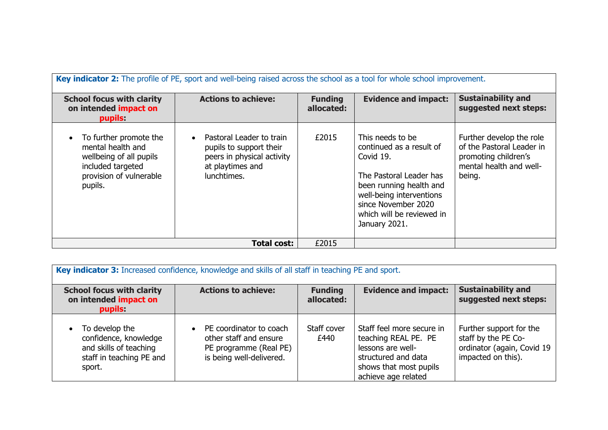| Key indicator 2: The profile of PE, sport and well-being raised across the school as a tool for whole school improvement.         |                                                                                                                      |                              |                                                                                                                                                                                                                  |                                                                                                                    |  |
|-----------------------------------------------------------------------------------------------------------------------------------|----------------------------------------------------------------------------------------------------------------------|------------------------------|------------------------------------------------------------------------------------------------------------------------------------------------------------------------------------------------------------------|--------------------------------------------------------------------------------------------------------------------|--|
| <b>School focus with clarity</b><br>on intended impact on<br>pupils:                                                              | <b>Actions to achieve:</b>                                                                                           | <b>Funding</b><br>allocated: | <b>Evidence and impact:</b>                                                                                                                                                                                      | <b>Sustainability and</b><br>suggested next steps:                                                                 |  |
| To further promote the<br>mental health and<br>wellbeing of all pupils<br>included targeted<br>provision of vulnerable<br>pupils. | Pastoral Leader to train<br>pupils to support their<br>peers in physical activity<br>at playtimes and<br>lunchtimes. | £2015                        | This needs to be<br>continued as a result of<br>Covid 19.<br>The Pastoral Leader has<br>been running health and<br>well-being interventions<br>since November 2020<br>which will be reviewed in<br>January 2021. | Further develop the role<br>of the Pastoral Leader in<br>promoting children's<br>mental health and well-<br>being. |  |
|                                                                                                                                   | <b>Total cost:</b>                                                                                                   | £2015                        |                                                                                                                                                                                                                  |                                                                                                                    |  |

| Key indicator 3: Increased confidence, knowledge and skills of all staff in teaching PE and sport.      |                                                                                                         |                              |                                                                                                                                                |                                                                                                    |  |
|---------------------------------------------------------------------------------------------------------|---------------------------------------------------------------------------------------------------------|------------------------------|------------------------------------------------------------------------------------------------------------------------------------------------|----------------------------------------------------------------------------------------------------|--|
| <b>School focus with clarity</b><br>on intended impact on<br>pupils:                                    | <b>Actions to achieve:</b>                                                                              | <b>Funding</b><br>allocated: | <b>Evidence and impact:</b>                                                                                                                    | <b>Sustainability and</b><br>suggested next steps:                                                 |  |
| To develop the<br>confidence, knowledge<br>and skills of teaching<br>staff in teaching PE and<br>sport. | PE coordinator to coach<br>other staff and ensure<br>PE programme (Real PE)<br>is being well-delivered. | Staff cover<br>£440          | Staff feel more secure in<br>teaching REAL PE. PE<br>lessons are well-<br>structured and data<br>shows that most pupils<br>achieve age related | Further support for the<br>staff by the PE Co-<br>ordinator (again, Covid 19<br>impacted on this). |  |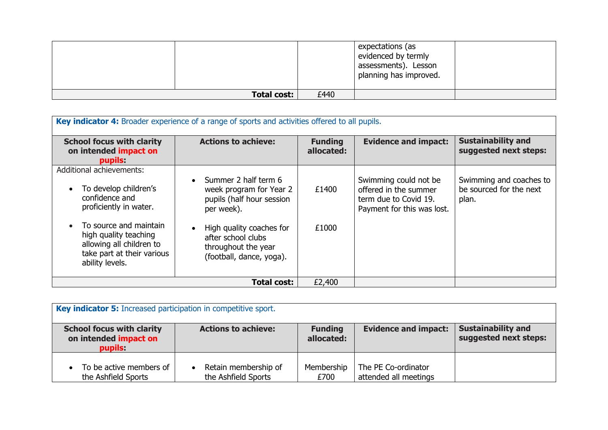|                    |      | expectations (as<br>evidenced by termly<br>assessments). Lesson<br>planning has improved. |  |
|--------------------|------|-------------------------------------------------------------------------------------------|--|
| <b>Total cost:</b> | £440 |                                                                                           |  |

| Key indicator 4: Broader experience of a range of sports and activities offered to all pupils.                                                   |                                                                                                                                                                                  |                              |                                                                                                       |                                                             |  |
|--------------------------------------------------------------------------------------------------------------------------------------------------|----------------------------------------------------------------------------------------------------------------------------------------------------------------------------------|------------------------------|-------------------------------------------------------------------------------------------------------|-------------------------------------------------------------|--|
| <b>School focus with clarity</b><br>on intended impact on<br>pupils:                                                                             | <b>Actions to achieve:</b>                                                                                                                                                       | <b>Funding</b><br>allocated: | <b>Evidence and impact:</b>                                                                           | <b>Sustainability and</b><br>suggested next steps:          |  |
| <b>Additional achievements:</b>                                                                                                                  |                                                                                                                                                                                  |                              |                                                                                                       |                                                             |  |
| To develop children's<br>confidence and<br>proficiently in water.<br>To source and maintain<br>high quality teaching<br>allowing all children to | Summer 2 half term 6<br>$\bullet$<br>week program for Year 2<br>pupils (half hour session<br>per week).<br>High quality coaches for<br>after school clubs<br>throughout the year | £1400<br>£1000               | Swimming could not be<br>offered in the summer<br>term due to Covid 19.<br>Payment for this was lost. | Swimming and coaches to<br>be sourced for the next<br>plan. |  |
| take part at their various<br>ability levels.                                                                                                    | (football, dance, yoga).                                                                                                                                                         |                              |                                                                                                       |                                                             |  |
|                                                                                                                                                  | <b>Total cost:</b>                                                                                                                                                               | £2,400                       |                                                                                                       |                                                             |  |

| Key indicator 5: Increased participation in competitive sport.       |                                             |                              |                                              |                                                    |  |
|----------------------------------------------------------------------|---------------------------------------------|------------------------------|----------------------------------------------|----------------------------------------------------|--|
| <b>School focus with clarity</b><br>on intended impact on<br>pupils: | <b>Actions to achieve:</b>                  | <b>Funding</b><br>allocated: | <b>Evidence and impact:</b>                  | <b>Sustainability and</b><br>suggested next steps: |  |
| To be active members of<br>the Ashfield Sports                       | Retain membership of<br>the Ashfield Sports | Membership<br>£700           | The PE Co-ordinator<br>attended all meetings |                                                    |  |